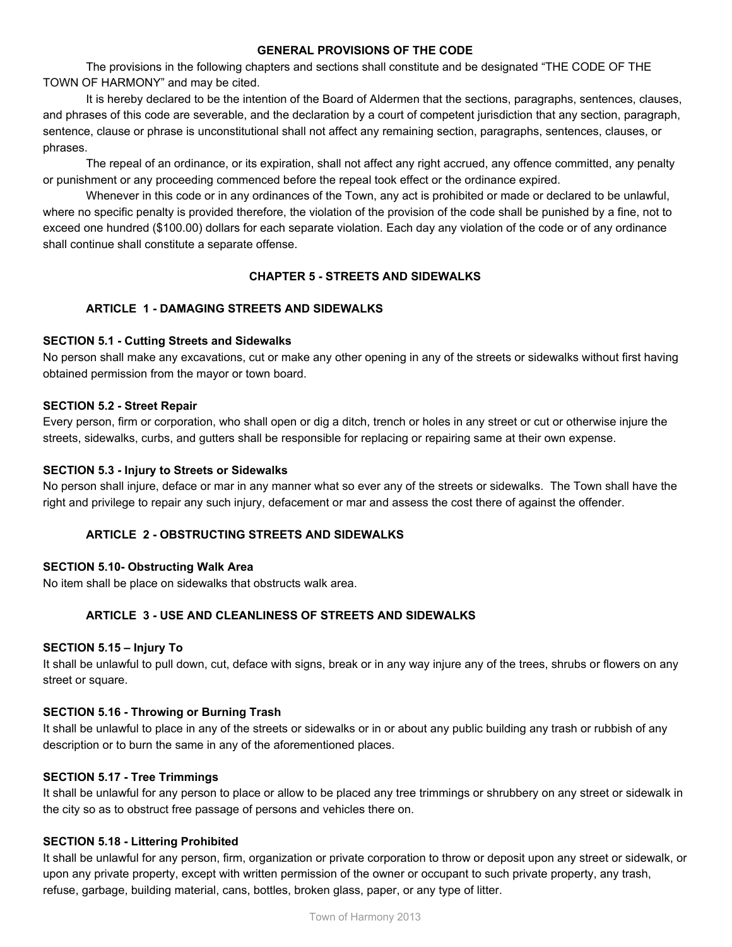### **GENERAL PROVISIONS OF THE CODE**

The provisions in the following chapters and sections shall constitute and be designated "THE CODE OF THE TOWN OF HARMONY" and may be cited.

It is hereby declared to be the intention of the Board of Aldermen that the sections, paragraphs, sentences, clauses, and phrases of this code are severable, and the declaration by a court of competent jurisdiction that any section, paragraph, sentence, clause or phrase is unconstitutional shall not affect any remaining section, paragraphs, sentences, clauses, or phrases.

The repeal of an ordinance, or its expiration, shall not affect any right accrued, any offence committed, any penalty or punishment or any proceeding commenced before the repeal took effect or the ordinance expired.

Whenever in this code or in any ordinances of the Town, any act is prohibited or made or declared to be unlawful, where no specific penalty is provided therefore, the violation of the provision of the code shall be punished by a fine, not to exceed one hundred (\$100.00) dollars for each separate violation. Each day any violation of the code or of any ordinance shall continue shall constitute a separate offense.

# **CHAPTER 5 STREETS AND SIDEWALKS**

# **ARTICLE 1 DAMAGING STREETS AND SIDEWALKS**

## **SECTION 5.1 Cutting Streets and Sidewalks**

No person shall make any excavations, cut or make any other opening in any of the streets or sidewalks without first having obtained permission from the mayor or town board.

### **SECTION 5.2 Street Repair**

Every person, firm or corporation, who shall open or dig a ditch, trench or holes in any street or cut or otherwise injure the streets, sidewalks, curbs, and gutters shall be responsible for replacing or repairing same at their own expense.

### **SECTION 5.3 Injury to Streets or Sidewalks**

No person shall injure, deface or mar in any manner what so ever any of the streets or sidewalks. The Town shall have the right and privilege to repair any such injury, defacement or mar and assess the cost there of against the offender.

## **ARTICLE 2 OBSTRUCTING STREETS AND SIDEWALKS**

#### **SECTION 5.10 Obstructing Walk Area**

No item shall be place on sidewalks that obstructs walk area.

## **ARTICLE 3 USE AND CLEANLINESS OF STREETS AND SIDEWALKS**

#### **SECTION 5.15 – Injury To**

It shall be unlawful to pull down, cut, deface with signs, break or in any way injure any of the trees, shrubs or flowers on any street or square.

#### **SECTION 5.16 Throwing or Burning Trash**

It shall be unlawful to place in any of the streets or sidewalks or in or about any public building any trash or rubbish of any description or to burn the same in any of the aforementioned places.

#### **SECTION 5.17 Tree Trimmings**

It shall be unlawful for any person to place or allow to be placed any tree trimmings or shrubbery on any street or sidewalk in the city so as to obstruct free passage of persons and vehicles there on.

### **SECTION 5.18 Littering Prohibited**

It shall be unlawful for any person, firm, organization or private corporation to throw or deposit upon any street or sidewalk, or upon any private property, except with written permission of the owner or occupant to such private property, any trash, refuse, garbage, building material, cans, bottles, broken glass, paper, or any type of litter.